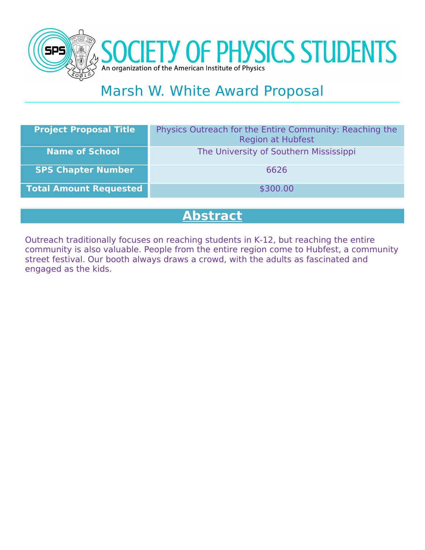



# Marsh W. White Award Proposal

| <b>Project Proposal Title</b> | Physics Outreach for the Entire Community: Reaching the<br><b>Region at Hubfest</b> |
|-------------------------------|-------------------------------------------------------------------------------------|
| <b>Name of School</b>         | The University of Southern Mississippi                                              |
| <b>SPS Chapter Number</b>     | 6626                                                                                |
| <b>Total Amount Requested</b> | \$300.00                                                                            |
|                               |                                                                                     |

### **Abstract**

Outreach traditionally focuses on reaching students in K-12, but reaching the entire community is also valuable. People from the entire region come to Hubfest, a community street festival. Our booth always draws a crowd, with the adults as fascinated and engaged as the kids.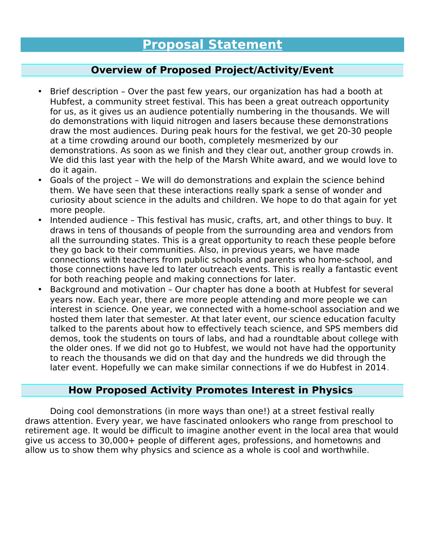#### **Overview of Proposed Project/Activity/Event**

- Brief description Over the past few years, our organization has had a booth at Hubfest, a community street festival. This has been a great outreach opportunity for us, as it gives us an audience potentially numbering in the thousands. We will do demonstrations with liquid nitrogen and lasers because these demonstrations draw the most audiences. During peak hours for the festival, we get 20-30 people at a time crowding around our booth, completely mesmerized by our demonstrations. As soon as we finish and they clear out, another group crowds in. We did this last year with the help of the Marsh White award, and we would love to do it again.
- Goals of the project We will do demonstrations and explain the science behind them. We have seen that these interactions really spark a sense of wonder and curiosity about science in the adults and children. We hope to do that again for yet more people.
- Intended audience This festival has music, crafts, art, and other things to buy. It draws in tens of thousands of people from the surrounding area and vendors from all the surrounding states. This is a great opportunity to reach these people before they go back to their communities. Also, in previous years, we have made connections with teachers from public schools and parents who home-school, and those connections have led to later outreach events. This is really a fantastic event for both reaching people and making connections for later.
- Background and motivation Our chapter has done a booth at Hubfest for several years now. Each year, there are more people attending and more people we can interest in science. One year, we connected with a home-school association and we hosted them later that semester. At that later event, our science education faculty talked to the parents about how to effectively teach science, and SPS members did demos, took the students on tours of labs, and had a roundtable about college with the older ones. If we did not go to Hubfest, we would not have had the opportunity to reach the thousands we did on that day and the hundreds we did through the later event. Hopefully we can make similar connections if we do Hubfest in 2014.

#### **How Proposed Activity Promotes Interest in Physics**

Doing cool demonstrations (in more ways than one!) at a street festival really draws attention. Every year, we have fascinated onlookers who range from preschool to retirement age. It would be difficult to imagine another event in the local area that would give us access to 30,000+ people of different ages, professions, and hometowns and allow us to show them why physics and science as a whole is cool and worthwhile.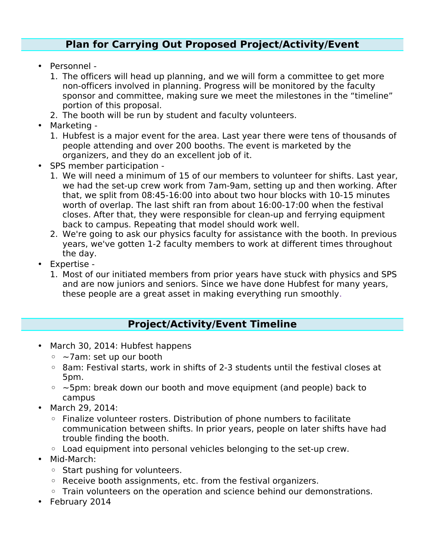#### **Plan for Carrying Out Proposed Project/Activity/Event**

- Personnel
	- 1. The officers will head up planning, and we will form a committee to get more non-officers involved in planning. Progress will be monitored by the faculty sponsor and committee, making sure we meet the milestones in the "timeline" portion of this proposal.
	- 2. The booth will be run by student and faculty volunteers.
- Marketing
	- 1. Hubfest is a major event for the area. Last year there were tens of thousands of people attending and over 200 booths. The event is marketed by the organizers, and they do an excellent job of it.
- SPS member participation
	- 1. We will need a minimum of 15 of our members to volunteer for shifts. Last year, we had the set-up crew work from 7am-9am, setting up and then working. After that, we split from 08:45-16:00 into about two hour blocks with 10-15 minutes worth of overlap. The last shift ran from about 16:00-17:00 when the festival closes. After that, they were responsible for clean-up and ferrying equipment back to campus. Repeating that model should work well.
	- 2. We're going to ask our physics faculty for assistance with the booth. In previous years, we've gotten 1-2 faculty members to work at different times throughout the day.
- Expertise
	- 1. Most of our initiated members from prior years have stuck with physics and SPS and are now juniors and seniors. Since we have done Hubfest for many years, these people are a great asset in making everything run smoothly.

#### **Project/Activity/Event Timeline**

- March 30, 2014: Hubfest happens
	- ~7am: set up our booth
	- 8am: Festival starts, work in shifts of 2-3 students until the festival closes at 5pm.
	- ~5pm: break down our booth and move equipment (and people) back to campus
- March 29, 2014:
	- Finalize volunteer rosters. Distribution of phone numbers to facilitate communication between shifts. In prior years, people on later shifts have had trouble finding the booth.
	- Load equipment into personal vehicles belonging to the set-up crew.
- Mid-March:
	- Start pushing for volunteers.
	- Receive booth assignments, etc. from the festival organizers.
	- Train volunteers on the operation and science behind our demonstrations.
- February 2014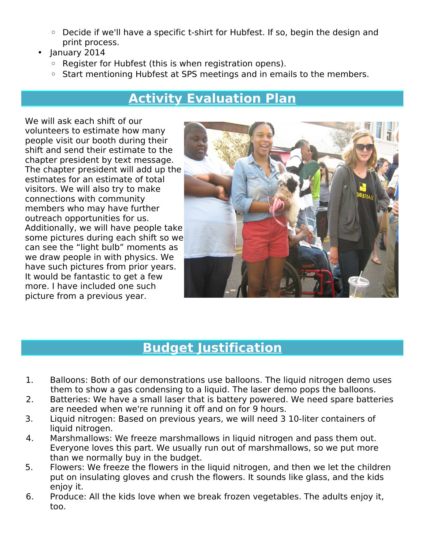- Decide if we'll have a specific t-shirt for Hubfest. If so, begin the design and print process.
- January 2014
	- Register for Hubfest (this is when registration opens).
	- Start mentioning Hubfest at SPS meetings and in emails to the members.

## **Activity Evaluation Plan**

We will ask each shift of our volunteers to estimate how many people visit our booth during their shift and send their estimate to the chapter president by text message. The chapter president will add up the estimates for an estimate of total visitors. We will also try to make connections with community members who may have further outreach opportunities for us. Additionally, we will have people take some pictures during each shift so we can see the "light bulb" moments as we draw people in with physics. We have such pictures from prior years. It would be fantastic to get a few more. I have included one such picture from a previous year.



### **Budget Justification**

- 1. Balloons: Both of our demonstrations use balloons. The liquid nitrogen demo uses them to show a gas condensing to a liquid. The laser demo pops the balloons.
- 2. Batteries: We have a small laser that is battery powered. We need spare batteries are needed when we're running it off and on for 9 hours.
- 3. Liquid nitrogen: Based on previous years, we will need 3 10-liter containers of liquid nitrogen.
- 4. Marshmallows: We freeze marshmallows in liquid nitrogen and pass them out. Everyone loves this part. We usually run out of marshmallows, so we put more than we normally buy in the budget.
- 5. Flowers: We freeze the flowers in the liquid nitrogen, and then we let the children put on insulating gloves and crush the flowers. It sounds like glass, and the kids enjoy it.
- 6. Produce: All the kids love when we break frozen vegetables. The adults enjoy it, too.